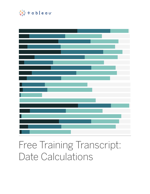

## Free Training Transcript: Date Calculations